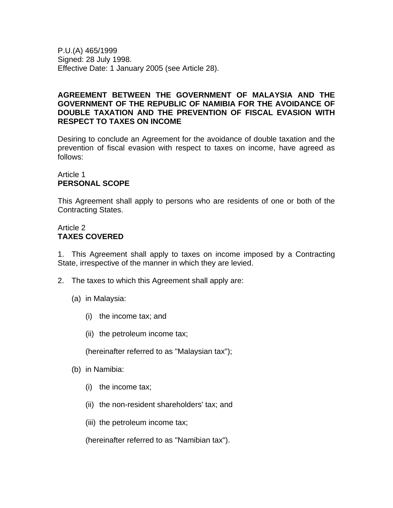P.U.(A) 465/1999 Signed: 28 July 1998. Effective Date: 1 January 2005 (see Article 28).

#### **AGREEMENT BETWEEN THE GOVERNMENT OF MALAYSIA AND THE GOVERNMENT OF THE REPUBLIC OF NAMIBIA FOR THE AVOIDANCE OF DOUBLE TAXATION AND THE PREVENTION OF FISCAL EVASION WITH RESPECT TO TAXES ON INCOME**

Desiring to conclude an Agreement for the avoidance of double taxation and the prevention of fiscal evasion with respect to taxes on income, have agreed as follows:

#### Article 1 **PERSONAL SCOPE**

This Agreement shall apply to persons who are residents of one or both of the Contracting States.

## Article 2 **TAXES COVERED**

1. This Agreement shall apply to taxes on income imposed by a Contracting State, irrespective of the manner in which they are levied.

- 2. The taxes to which this Agreement shall apply are:
	- (a) in Malaysia:
		- (i) the income tax; and
		- (ii) the petroleum income tax;

(hereinafter referred to as "Malaysian tax");

- (b) in Namibia:
	- (i) the income tax;
	- (ii) the non-resident shareholders' tax; and
	- (iii) the petroleum income tax;

(hereinafter referred to as "Namibian tax").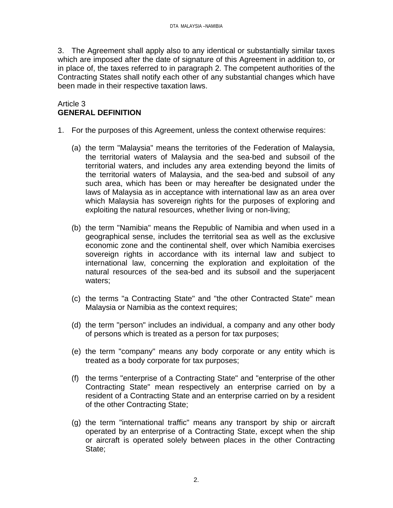3. The Agreement shall apply also to any identical or substantially similar taxes which are imposed after the date of signature of this Agreement in addition to, or in place of, the taxes referred to in paragraph 2. The competent authorities of the Contracting States shall notify each other of any substantial changes which have been made in their respective taxation laws.

#### Article 3 **GENERAL DEFINITION**

- 1. For the purposes of this Agreement, unless the context otherwise requires:
	- (a) the term "Malaysia" means the territories of the Federation of Malaysia, the territorial waters of Malaysia and the sea-bed and subsoil of the territorial waters, and includes any area extending beyond the limits of the territorial waters of Malaysia, and the sea-bed and subsoil of any such area, which has been or may hereafter be designated under the laws of Malaysia as in acceptance with international law as an area over which Malaysia has sovereign rights for the purposes of exploring and exploiting the natural resources, whether living or non-living;
	- (b) the term "Namibia" means the Republic of Namibia and when used in a geographical sense, includes the territorial sea as well as the exclusive economic zone and the continental shelf, over which Namibia exercises sovereign rights in accordance with its internal law and subject to international law, concerning the exploration and exploitation of the natural resources of the sea-bed and its subsoil and the superjacent waters;
	- (c) the terms "a Contracting State" and "the other Contracted State" mean Malaysia or Namibia as the context requires;
	- (d) the term "person" includes an individual, a company and any other body of persons which is treated as a person for tax purposes;
	- (e) the term "company" means any body corporate or any entity which is treated as a body corporate for tax purposes;
	- (f) the terms "enterprise of a Contracting State" and "enterprise of the other Contracting State" mean respectively an enterprise carried on by a resident of a Contracting State and an enterprise carried on by a resident of the other Contracting State;
	- (g) the term "international traffic" means any transport by ship or aircraft operated by an enterprise of a Contracting State, except when the ship or aircraft is operated solely between places in the other Contracting State;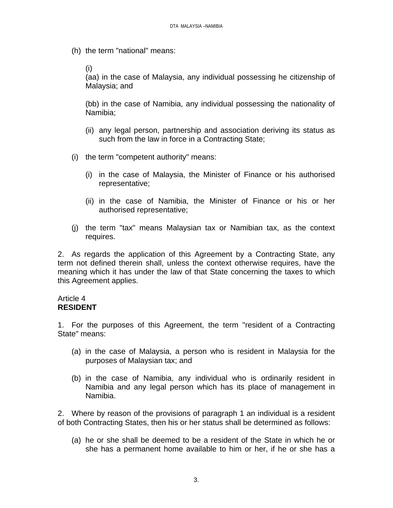(h) the term "national" means:

(i)

(aa) in the case of Malaysia, any individual possessing he citizenship of Malaysia; and

(bb) in the case of Namibia, any individual possessing the nationality of Namibia;

- (ii) any legal person, partnership and association deriving its status as such from the law in force in a Contracting State;
- (i) the term "competent authority" means:
	- (i) in the case of Malaysia, the Minister of Finance or his authorised representative;
	- (ii) in the case of Namibia, the Minister of Finance or his or her authorised representative;
- (j) the term "tax" means Malaysian tax or Namibian tax, as the context requires.

2. As regards the application of this Agreement by a Contracting State, any term not defined therein shall, unless the context otherwise requires, have the meaning which it has under the law of that State concerning the taxes to which this Agreement applies.

#### Article 4 **RESIDENT**

1. For the purposes of this Agreement, the term "resident of a Contracting State" means:

- (a) in the case of Malaysia, a person who is resident in Malaysia for the purposes of Malaysian tax; and
- (b) in the case of Namibia, any individual who is ordinarily resident in Namibia and any legal person which has its place of management in Namibia.

2. Where by reason of the provisions of paragraph 1 an individual is a resident of both Contracting States, then his or her status shall be determined as follows:

(a) he or she shall be deemed to be a resident of the State in which he or she has a permanent home available to him or her, if he or she has a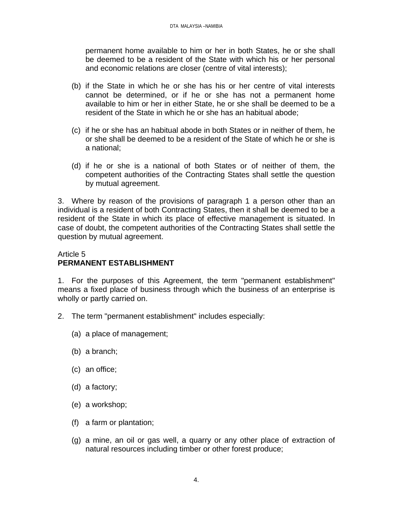permanent home available to him or her in both States, he or she shall be deemed to be a resident of the State with which his or her personal and economic relations are closer (centre of vital interests);

- (b) if the State in which he or she has his or her centre of vital interests cannot be determined, or if he or she has not a permanent home available to him or her in either State, he or she shall be deemed to be a resident of the State in which he or she has an habitual abode;
- (c) if he or she has an habitual abode in both States or in neither of them, he or she shall be deemed to be a resident of the State of which he or she is a national;
- (d) if he or she is a national of both States or of neither of them, the competent authorities of the Contracting States shall settle the question by mutual agreement.

3. Where by reason of the provisions of paragraph 1 a person other than an individual is a resident of both Contracting States, then it shall be deemed to be a resident of the State in which its place of effective management is situated. In case of doubt, the competent authorities of the Contracting States shall settle the question by mutual agreement.

## Article 5 **PERMANENT ESTABLISHMENT**

1. For the purposes of this Agreement, the term "permanent establishment" means a fixed place of business through which the business of an enterprise is wholly or partly carried on.

- 2. The term "permanent establishment" includes especially:
	- (a) a place of management;
	- (b) a branch;
	- (c) an office;
	- (d) a factory;
	- (e) a workshop;
	- (f) a farm or plantation;
	- (g) a mine, an oil or gas well, a quarry or any other place of extraction of natural resources including timber or other forest produce;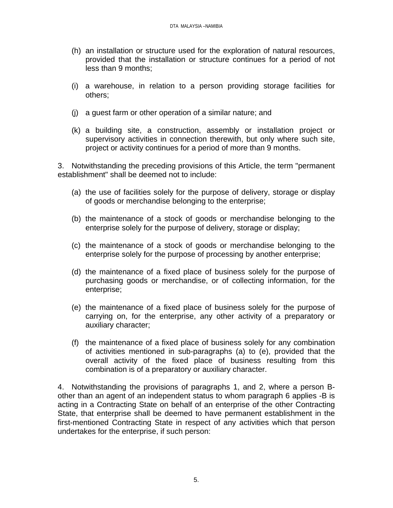- (h) an installation or structure used for the exploration of natural resources, provided that the installation or structure continues for a period of not less than 9 months;
- (i) a warehouse, in relation to a person providing storage facilities for others;
- (j) a guest farm or other operation of a similar nature; and
- (k) a building site, a construction, assembly or installation project or supervisory activities in connection therewith, but only where such site, project or activity continues for a period of more than 9 months.

3. Notwithstanding the preceding provisions of this Article, the term "permanent establishment" shall be deemed not to include:

- (a) the use of facilities solely for the purpose of delivery, storage or display of goods or merchandise belonging to the enterprise;
- (b) the maintenance of a stock of goods or merchandise belonging to the enterprise solely for the purpose of delivery, storage or display;
- (c) the maintenance of a stock of goods or merchandise belonging to the enterprise solely for the purpose of processing by another enterprise;
- (d) the maintenance of a fixed place of business solely for the purpose of purchasing goods or merchandise, or of collecting information, for the enterprise;
- (e) the maintenance of a fixed place of business solely for the purpose of carrying on, for the enterprise, any other activity of a preparatory or auxiliary character;
- (f) the maintenance of a fixed place of business solely for any combination of activities mentioned in sub-paragraphs (a) to (e), provided that the overall activity of the fixed place of business resulting from this combination is of a preparatory or auxiliary character.

4. Notwithstanding the provisions of paragraphs 1, and 2, where a person Bother than an agent of an independent status to whom paragraph 6 applies -B is acting in a Contracting State on behalf of an enterprise of the other Contracting State, that enterprise shall be deemed to have permanent establishment in the first-mentioned Contracting State in respect of any activities which that person undertakes for the enterprise, if such person: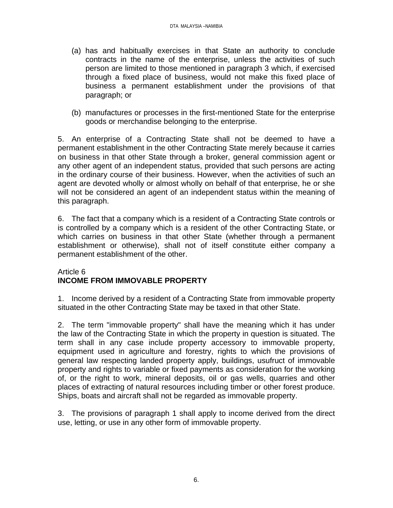- (a) has and habitually exercises in that State an authority to conclude contracts in the name of the enterprise, unless the activities of such person are limited to those mentioned in paragraph 3 which, if exercised through a fixed place of business, would not make this fixed place of business a permanent establishment under the provisions of that paragraph; or
- (b) manufactures or processes in the first-mentioned State for the enterprise goods or merchandise belonging to the enterprise.

5. An enterprise of a Contracting State shall not be deemed to have a permanent establishment in the other Contracting State merely because it carries on business in that other State through a broker, general commission agent or any other agent of an independent status, provided that such persons are acting in the ordinary course of their business. However, when the activities of such an agent are devoted wholly or almost wholly on behalf of that enterprise, he or she will not be considered an agent of an independent status within the meaning of this paragraph.

6. The fact that a company which is a resident of a Contracting State controls or is controlled by a company which is a resident of the other Contracting State, or which carries on business in that other State (whether through a permanent establishment or otherwise), shall not of itself constitute either company a permanent establishment of the other.

## Article 6 **INCOME FROM IMMOVABLE PROPERTY**

1. Income derived by a resident of a Contracting State from immovable property situated in the other Contracting State may be taxed in that other State.

2. The term "immovable property" shall have the meaning which it has under the law of the Contracting State in which the property in question is situated. The term shall in any case include property accessory to immovable property, equipment used in agriculture and forestry, rights to which the provisions of general law respecting landed property apply, buildings, usufruct of immovable property and rights to variable or fixed payments as consideration for the working of, or the right to work, mineral deposits, oil or gas wells, quarries and other places of extracting of natural resources including timber or other forest produce. Ships, boats and aircraft shall not be regarded as immovable property.

3. The provisions of paragraph 1 shall apply to income derived from the direct use, letting, or use in any other form of immovable property.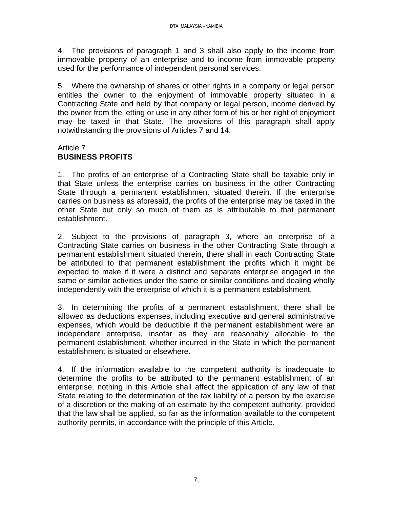4. The provisions of paragraph 1 and 3 shall also apply to the income from immovable property of an enterprise and to income from immovable property used for the performance of independent personal services.

5. Where the ownership of shares or other rights in a company or legal person entitles the owner to the enjoyment of immovable property situated in a Contracting State and held by that company or legal person, income derived by the owner from the letting or use in any other form of his or her right of enjoyment may be taxed in that State. The provisions of this paragraph shall apply notwithstanding the provisions of Articles 7 and 14.

## Article 7 **BUSINESS PROFITS**

1. The profits of an enterprise of a Contracting State shall be taxable only in that State unless the enterprise carries on business in the other Contracting State through a permanent establishment situated therein. If the enterprise carries on business as aforesaid, the profits of the enterprise may be taxed in the other State but only so much of them as is attributable to that permanent establishment.

2. Subject to the provisions of paragraph 3, where an enterprise of a Contracting State carries on business in the other Contracting State through a permanent establishment situated therein, there shall in each Contracting State be attributed to that permanent establishment the profits which it might be expected to make if it were a distinct and separate enterprise engaged in the same or similar activities under the same or similar conditions and dealing wholly independently with the enterprise of which it is a permanent establishment.

3. In determining the profits of a permanent establishment, there shall be allowed as deductions expenses, including executive and general administrative expenses, which would be deductible if the permanent establishment were an independent enterprise, insofar as they are reasonably allocable to the permanent establishment, whether incurred in the State in which the permanent establishment is situated or elsewhere.

4. If the information available to the competent authority is inadequate to determine the profits to be attributed to the permanent establishment of an enterprise, nothing in this Article shall affect the application of any law of that State relating to the determination of the tax liability of a person by the exercise of a discretion or the making of an estimate by the competent authority, provided that the law shall be applied, so far as the information available to the competent authority permits, in accordance with the principle of this Article.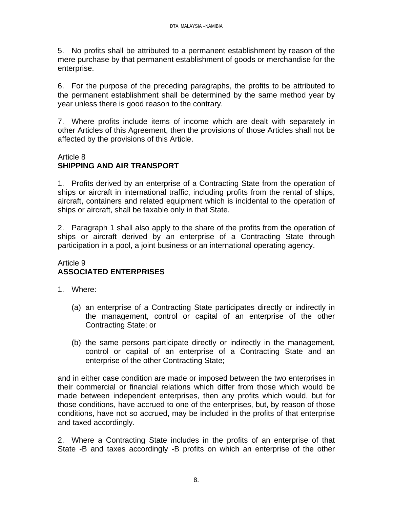5. No profits shall be attributed to a permanent establishment by reason of the mere purchase by that permanent establishment of goods or merchandise for the enterprise.

6. For the purpose of the preceding paragraphs, the profits to be attributed to the permanent establishment shall be determined by the same method year by year unless there is good reason to the contrary.

7. Where profits include items of income which are dealt with separately in other Articles of this Agreement, then the provisions of those Articles shall not be affected by the provisions of this Article.

#### Article 8 **SHIPPING AND AIR TRANSPORT**

1. Profits derived by an enterprise of a Contracting State from the operation of ships or aircraft in international traffic, including profits from the rental of ships, aircraft, containers and related equipment which is incidental to the operation of ships or aircraft, shall be taxable only in that State.

2. Paragraph 1 shall also apply to the share of the profits from the operation of ships or aircraft derived by an enterprise of a Contracting State through participation in a pool, a joint business or an international operating agency.

# Article 9 **ASSOCIATED ENTERPRISES**

- 1. Where:
	- (a) an enterprise of a Contracting State participates directly or indirectly in the management, control or capital of an enterprise of the other Contracting State; or
	- (b) the same persons participate directly or indirectly in the management, control or capital of an enterprise of a Contracting State and an enterprise of the other Contracting State;

and in either case condition are made or imposed between the two enterprises in their commercial or financial relations which differ from those which would be made between independent enterprises, then any profits which would, but for those conditions, have accrued to one of the enterprises, but, by reason of those conditions, have not so accrued, may be included in the profits of that enterprise and taxed accordingly.

2. Where a Contracting State includes in the profits of an enterprise of that State -B and taxes accordingly -B profits on which an enterprise of the other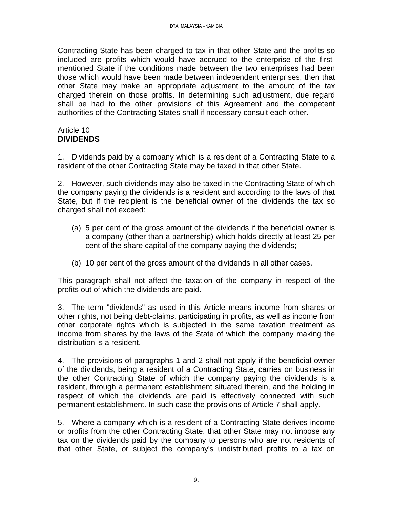Contracting State has been charged to tax in that other State and the profits so included are profits which would have accrued to the enterprise of the firstmentioned State if the conditions made between the two enterprises had been those which would have been made between independent enterprises, then that other State may make an appropriate adjustment to the amount of the tax charged therein on those profits. In determining such adjustment, due regard shall be had to the other provisions of this Agreement and the competent authorities of the Contracting States shall if necessary consult each other.

#### Article 10 **DIVIDENDS**

1. Dividends paid by a company which is a resident of a Contracting State to a resident of the other Contracting State may be taxed in that other State.

2. However, such dividends may also be taxed in the Contracting State of which the company paying the dividends is a resident and according to the laws of that State, but if the recipient is the beneficial owner of the dividends the tax so charged shall not exceed:

- (a) 5 per cent of the gross amount of the dividends if the beneficial owner is a company (other than a partnership) which holds directly at least 25 per cent of the share capital of the company paying the dividends;
- (b) 10 per cent of the gross amount of the dividends in all other cases.

This paragraph shall not affect the taxation of the company in respect of the profits out of which the dividends are paid.

3. The term "dividends" as used in this Article means income from shares or other rights, not being debt-claims, participating in profits, as well as income from other corporate rights which is subjected in the same taxation treatment as income from shares by the laws of the State of which the company making the distribution is a resident.

4. The provisions of paragraphs 1 and 2 shall not apply if the beneficial owner of the dividends, being a resident of a Contracting State, carries on business in the other Contracting State of which the company paying the dividends is a resident, through a permanent establishment situated therein, and the holding in respect of which the dividends are paid is effectively connected with such permanent establishment. In such case the provisions of Article 7 shall apply.

5. Where a company which is a resident of a Contracting State derives income or profits from the other Contracting State, that other State may not impose any tax on the dividends paid by the company to persons who are not residents of that other State, or subject the company's undistributed profits to a tax on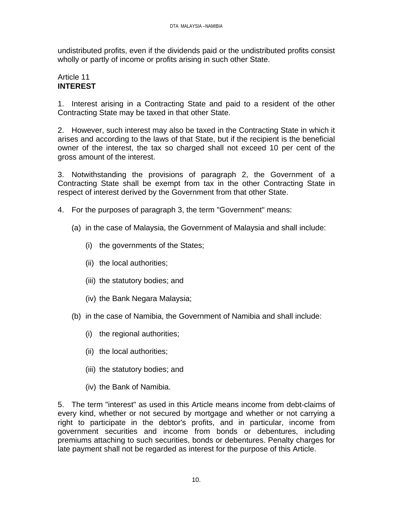undistributed profits, even if the dividends paid or the undistributed profits consist wholly or partly of income or profits arising in such other State.

## Article 11 **INTEREST**

1. Interest arising in a Contracting State and paid to a resident of the other Contracting State may be taxed in that other State.

2. However, such interest may also be taxed in the Contracting State in which it arises and according to the laws of that State, but if the recipient is the beneficial owner of the interest, the tax so charged shall not exceed 10 per cent of the gross amount of the interest.

3. Notwithstanding the provisions of paragraph 2, the Government of a Contracting State shall be exempt from tax in the other Contracting State in respect of interest derived by the Government from that other State.

- 4. For the purposes of paragraph 3, the term "Government" means:
	- (a) in the case of Malaysia, the Government of Malaysia and shall include:
		- (i) the governments of the States;
		- (ii) the local authorities;
		- (iii) the statutory bodies; and
		- (iv) the Bank Negara Malaysia;
	- (b) in the case of Namibia, the Government of Namibia and shall include:
		- (i) the regional authorities;
		- (ii) the local authorities;
		- (iii) the statutory bodies; and
		- (iv) the Bank of Namibia.

5. The term "interest" as used in this Article means income from debt-claims of every kind, whether or not secured by mortgage and whether or not carrying a right to participate in the debtor's profits, and in particular, income from government securities and income from bonds or debentures, including premiums attaching to such securities, bonds or debentures. Penalty charges for late payment shall not be regarded as interest for the purpose of this Article.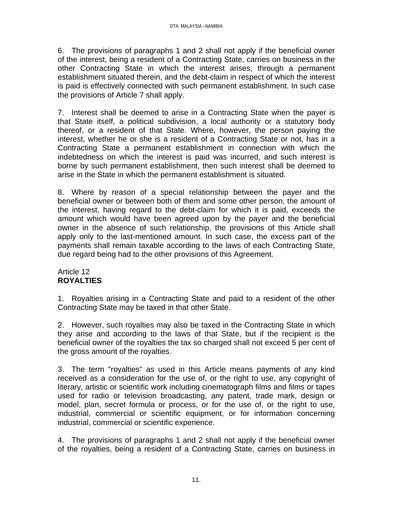6. The provisions of paragraphs 1 and 2 shall not apply if the beneficial owner of the interest, being a resident of a Contracting State, carries on business in the other Contracting State in which the interest arises, through a permanent establishment situated therein, and the debt-claim in respect of which the interest is paid is effectively connected with such permanent establishment. In such case the provisions of Article 7 shall apply.

7. Interest shall be deemed to arise in a Contracting State when the payer is that State itself, a political subdivision, a local authority or a statutory body thereof, or a resident of that State. Where, however, the person paying the interest, whether he or she is a resident of a Contracting State or not, has in a Contracting State a permanent establishment in connection with which the indebtedness on which the interest is paid was incurred, and such interest is borne by such permanent establishment, then such interest shall be deemed to arise in the State in which the permanent establishment is situated.

8. Where by reason of a special relationship between the payer and the beneficial owner or between both of them and some other person, the amount of the interest, having regard to the debt-claim for which it is paid, exceeds the amount which would have been agreed upon by the payer and the beneficial owner in the absence of such relationship, the provisions of this Article shall apply only to the last-mentioned amount. In such case, the excess part of the payments shall remain taxable according to the laws of each Contracting State, due regard being had to the other provisions of this Agreement.

## Article 12 **ROYALTIES**

1. Royalties arising in a Contracting State and paid to a resident of the other Contracting State may be taxed in that other State.

2. However, such royalties may also be taxed in the Contracting State in which they arise and according to the laws of that State, but if the recipient is the beneficial owner of the royalties the tax so charged shall not exceed 5 per cent of the gross amount of the royalties.

3. The term "royalties" as used in this Article means payments of any kind received as a consideration for the use of, or the right to use, any copyright of literary, artistic or scientific work including cinematograph films and films or tapes used for radio or television broadcasting, any patent, trade mark, design or model, plan, secret formula or process, or for the use of, or the right to use, industrial, commercial or scientific equipment, or for information concerning industrial, commercial or scientific experience.

4. The provisions of paragraphs 1 and 2 shall not apply if the beneficial owner of the royalties, being a resident of a Contracting State, carries on business in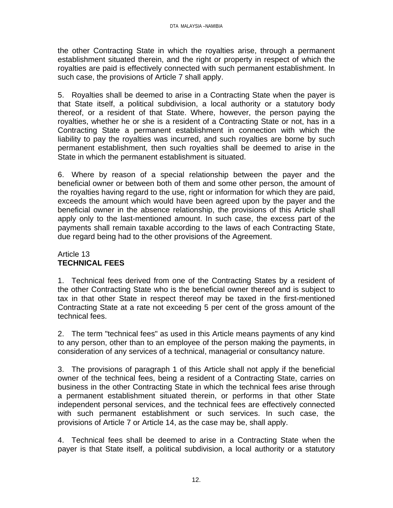the other Contracting State in which the royalties arise, through a permanent establishment situated therein, and the right or property in respect of which the royalties are paid is effectively connected with such permanent establishment. In such case, the provisions of Article 7 shall apply.

5. Royalties shall be deemed to arise in a Contracting State when the payer is that State itself, a political subdivision, a local authority or a statutory body thereof, or a resident of that State. Where, however, the person paying the royalties, whether he or she is a resident of a Contracting State or not, has in a Contracting State a permanent establishment in connection with which the liability to pay the royalties was incurred, and such royalties are borne by such permanent establishment, then such royalties shall be deemed to arise in the State in which the permanent establishment is situated.

6. Where by reason of a special relationship between the payer and the beneficial owner or between both of them and some other person, the amount of the royalties having regard to the use, right or information for which they are paid, exceeds the amount which would have been agreed upon by the payer and the beneficial owner in the absence relationship, the provisions of this Article shall apply only to the last-mentioned amount. In such case, the excess part of the payments shall remain taxable according to the laws of each Contracting State, due regard being had to the other provisions of the Agreement.

## Article 13 **TECHNICAL FEES**

1. Technical fees derived from one of the Contracting States by a resident of the other Contracting State who is the beneficial owner thereof and is subject to tax in that other State in respect thereof may be taxed in the first-mentioned Contracting State at a rate not exceeding 5 per cent of the gross amount of the technical fees.

2. The term "technical fees" as used in this Article means payments of any kind to any person, other than to an employee of the person making the payments, in consideration of any services of a technical, managerial or consultancy nature.

3. The provisions of paragraph 1 of this Article shall not apply if the beneficial owner of the technical fees, being a resident of a Contracting State, carries on business in the other Contracting State in which the technical fees arise through a permanent establishment situated therein, or performs in that other State independent personal services, and the technical fees are effectively connected with such permanent establishment or such services. In such case, the provisions of Article 7 or Article 14, as the case may be, shall apply.

4. Technical fees shall be deemed to arise in a Contracting State when the payer is that State itself, a political subdivision, a local authority or a statutory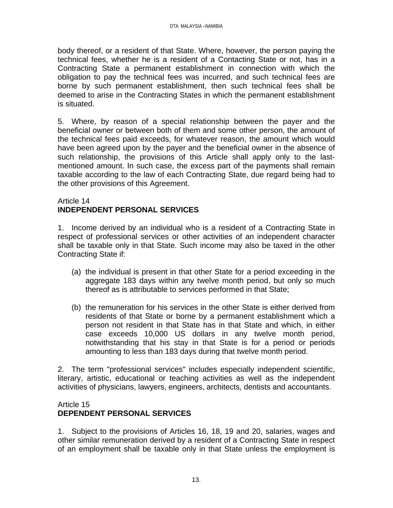body thereof, or a resident of that State. Where, however, the person paying the technical fees, whether he is a resident of a Contacting State or not, has in a Contracting State a permanent establishment in connection with which the obligation to pay the technical fees was incurred, and such technical fees are borne by such permanent establishment, then such technical fees shall be deemed to arise in the Contracting States in which the permanent establishment is situated.

5. Where, by reason of a special relationship between the payer and the beneficial owner or between both of them and some other person, the amount of the technical fees paid exceeds, for whatever reason, the amount which would have been agreed upon by the payer and the beneficial owner in the absence of such relationship, the provisions of this Article shall apply only to the lastmentioned amount. In such case, the excess part of the payments shall remain taxable according to the law of each Contracting State, due regard being had to the other provisions of this Agreement.

#### Article 14 **INDEPENDENT PERSONAL SERVICES**

1. Income derived by an individual who is a resident of a Contracting State in respect of professional services or other activities of an independent character shall be taxable only in that State. Such income may also be taxed in the other Contracting State if:

- (a) the individual is present in that other State for a period exceeding in the aggregate 183 days within any twelve month period, but only so much thereof as is attributable to services performed in that State;
- (b) the remuneration for his services in the other State is either derived from residents of that State or borne by a permanent establishment which a person not resident in that State has in that State and which, in either case exceeds 10,000 US dollars in any twelve month period, notwithstanding that his stay in that State is for a period or periods amounting to less than 183 days during that twelve month period.

2. The term "professional services" includes especially independent scientific, literary, artistic, educational or teaching activities as well as the independent activities of physicians, lawyers, engineers, architects, dentists and accountants.

# Article 15 **DEPENDENT PERSONAL SERVICES**

1. Subject to the provisions of Articles 16, 18, 19 and 20, salaries, wages and other similar remuneration derived by a resident of a Contracting State in respect of an employment shall be taxable only in that State unless the employment is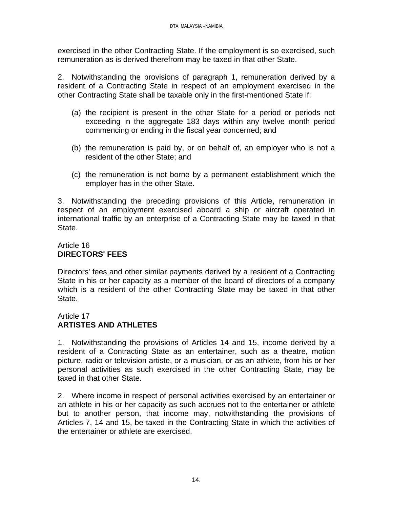exercised in the other Contracting State. If the employment is so exercised, such remuneration as is derived therefrom may be taxed in that other State.

2. Notwithstanding the provisions of paragraph 1, remuneration derived by a resident of a Contracting State in respect of an employment exercised in the other Contracting State shall be taxable only in the first-mentioned State if:

- (a) the recipient is present in the other State for a period or periods not exceeding in the aggregate 183 days within any twelve month period commencing or ending in the fiscal year concerned; and
- (b) the remuneration is paid by, or on behalf of, an employer who is not a resident of the other State; and
- (c) the remuneration is not borne by a permanent establishment which the employer has in the other State.

3. Notwithstanding the preceding provisions of this Article, remuneration in respect of an employment exercised aboard a ship or aircraft operated in international traffic by an enterprise of a Contracting State may be taxed in that State.

# Article 16 **DIRECTORS' FEES**

Directors' fees and other similar payments derived by a resident of a Contracting State in his or her capacity as a member of the board of directors of a company which is a resident of the other Contracting State may be taxed in that other State.

# Article 17 **ARTISTES AND ATHLETES**

1. Notwithstanding the provisions of Articles 14 and 15, income derived by a resident of a Contracting State as an entertainer, such as a theatre, motion picture, radio or television artiste, or a musician, or as an athlete, from his or her personal activities as such exercised in the other Contracting State, may be taxed in that other State.

2. Where income in respect of personal activities exercised by an entertainer or an athlete in his or her capacity as such accrues not to the entertainer or athlete but to another person, that income may, notwithstanding the provisions of Articles 7, 14 and 15, be taxed in the Contracting State in which the activities of the entertainer or athlete are exercised.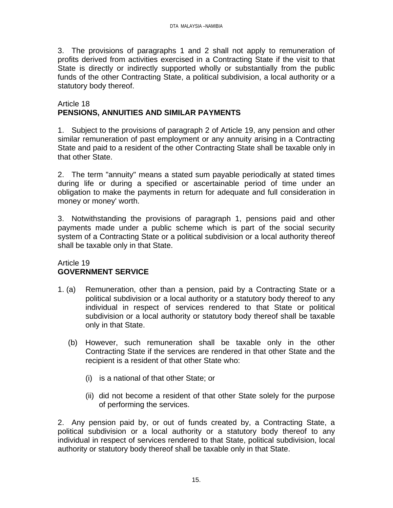3. The provisions of paragraphs 1 and 2 shall not apply to remuneration of profits derived from activities exercised in a Contracting State if the visit to that State is directly or indirectly supported wholly or substantially from the public funds of the other Contracting State, a political subdivision, a local authority or a statutory body thereof.

#### Article 18 **PENSIONS, ANNUITIES AND SIMILAR PAYMENTS**

1. Subject to the provisions of paragraph 2 of Article 19, any pension and other similar remuneration of past employment or any annuity arising in a Contracting State and paid to a resident of the other Contracting State shall be taxable only in that other State.

2. The term "annuity" means a stated sum payable periodically at stated times during life or during a specified or ascertainable period of time under an obligation to make the payments in return for adequate and full consideration in money or money' worth.

3. Notwithstanding the provisions of paragraph 1, pensions paid and other payments made under a public scheme which is part of the social security system of a Contracting State or a political subdivision or a local authority thereof shall be taxable only in that State.

## Article 19 **GOVERNMENT SERVICE**

- 1. (a) Remuneration, other than a pension, paid by a Contracting State or a political subdivision or a local authority or a statutory body thereof to any individual in respect of services rendered to that State or political subdivision or a local authority or statutory body thereof shall be taxable only in that State.
	- (b) However, such remuneration shall be taxable only in the other Contracting State if the services are rendered in that other State and the recipient is a resident of that other State who:
		- (i) is a national of that other State; or
		- (ii) did not become a resident of that other State solely for the purpose of performing the services.

2. Any pension paid by, or out of funds created by, a Contracting State, a political subdivision or a local authority or a statutory body thereof to any individual in respect of services rendered to that State, political subdivision, local authority or statutory body thereof shall be taxable only in that State.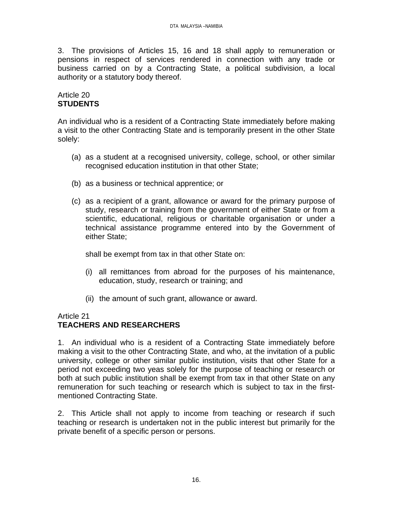3. The provisions of Articles 15, 16 and 18 shall apply to remuneration or pensions in respect of services rendered in connection with any trade or business carried on by a Contracting State, a political subdivision, a local authority or a statutory body thereof.

## Article 20 **STUDENTS**

An individual who is a resident of a Contracting State immediately before making a visit to the other Contracting State and is temporarily present in the other State solely:

- (a) as a student at a recognised university, college, school, or other similar recognised education institution in that other State;
- (b) as a business or technical apprentice; or
- (c) as a recipient of a grant, allowance or award for the primary purpose of study, research or training from the government of either State or from a scientific, educational, religious or charitable organisation or under a technical assistance programme entered into by the Government of either State;

shall be exempt from tax in that other State on:

- (i) all remittances from abroad for the purposes of his maintenance, education, study, research or training; and
- (ii) the amount of such grant, allowance or award.

# Article 21

# **TEACHERS AND RESEARCHERS**

1. An individual who is a resident of a Contracting State immediately before making a visit to the other Contracting State, and who, at the invitation of a public university, college or other similar public institution, visits that other State for a period not exceeding two yeas solely for the purpose of teaching or research or both at such public institution shall be exempt from tax in that other State on any remuneration for such teaching or research which is subject to tax in the firstmentioned Contracting State.

2. This Article shall not apply to income from teaching or research if such teaching or research is undertaken not in the public interest but primarily for the private benefit of a specific person or persons.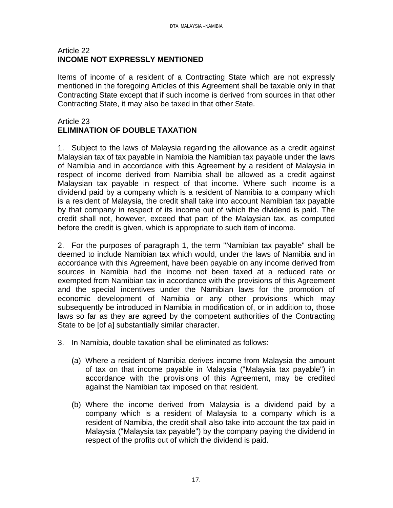#### Article 22 **INCOME NOT EXPRESSLY MENTIONED**

Items of income of a resident of a Contracting State which are not expressly mentioned in the foregoing Articles of this Agreement shall be taxable only in that Contracting State except that if such income is derived from sources in that other Contracting State, it may also be taxed in that other State.

## Article 23 **ELIMINATION OF DOUBLE TAXATION**

1. Subject to the laws of Malaysia regarding the allowance as a credit against Malaysian tax of tax payable in Namibia the Namibian tax payable under the laws of Namibia and in accordance with this Agreement by a resident of Malaysia in respect of income derived from Namibia shall be allowed as a credit against Malaysian tax payable in respect of that income. Where such income is a dividend paid by a company which is a resident of Namibia to a company which is a resident of Malaysia, the credit shall take into account Namibian tax payable by that company in respect of its income out of which the dividend is paid. The credit shall not, however, exceed that part of the Malaysian tax, as computed before the credit is given, which is appropriate to such item of income.

2. For the purposes of paragraph 1, the term "Namibian tax payable" shall be deemed to include Namibian tax which would, under the laws of Namibia and in accordance with this Agreement, have been payable on any income derived from sources in Namibia had the income not been taxed at a reduced rate or exempted from Namibian tax in accordance with the provisions of this Agreement and the special incentives under the Namibian laws for the promotion of economic development of Namibia or any other provisions which may subsequently be introduced in Namibia in modification of, or in addition to, those laws so far as they are agreed by the competent authorities of the Contracting State to be [of a] substantially similar character.

- 3. In Namibia, double taxation shall be eliminated as follows:
	- (a) Where a resident of Namibia derives income from Malaysia the amount of tax on that income payable in Malaysia ("Malaysia tax payable") in accordance with the provisions of this Agreement, may be credited against the Namibian tax imposed on that resident.
	- (b) Where the income derived from Malaysia is a dividend paid by a company which is a resident of Malaysia to a company which is a resident of Namibia, the credit shall also take into account the tax paid in Malaysia ("Malaysia tax payable") by the company paying the dividend in respect of the profits out of which the dividend is paid.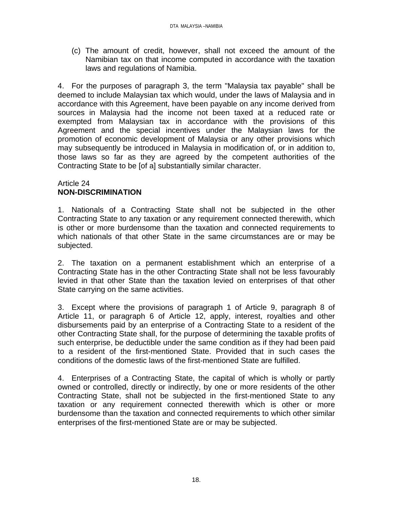(c) The amount of credit, however, shall not exceed the amount of the Namibian tax on that income computed in accordance with the taxation laws and regulations of Namibia.

4. For the purposes of paragraph 3, the term "Malaysia tax payable" shall be deemed to include Malaysian tax which would, under the laws of Malaysia and in accordance with this Agreement, have been payable on any income derived from sources in Malaysia had the income not been taxed at a reduced rate or exempted from Malaysian tax in accordance with the provisions of this Agreement and the special incentives under the Malaysian laws for the promotion of economic development of Malaysia or any other provisions which may subsequently be introduced in Malaysia in modification of, or in addition to, those laws so far as they are agreed by the competent authorities of the Contracting State to be [of a] substantially similar character.

## Article 24 **NON-DISCRIMINATION**

1. Nationals of a Contracting State shall not be subjected in the other Contracting State to any taxation or any requirement connected therewith, which is other or more burdensome than the taxation and connected requirements to which nationals of that other State in the same circumstances are or may be subjected.

2. The taxation on a permanent establishment which an enterprise of a Contracting State has in the other Contracting State shall not be less favourably levied in that other State than the taxation levied on enterprises of that other State carrying on the same activities.

3. Except where the provisions of paragraph 1 of Article 9, paragraph 8 of Article 11, or paragraph 6 of Article 12, apply, interest, royalties and other disbursements paid by an enterprise of a Contracting State to a resident of the other Contracting State shall, for the purpose of determining the taxable profits of such enterprise, be deductible under the same condition as if they had been paid to a resident of the first-mentioned State. Provided that in such cases the conditions of the domestic laws of the first-mentioned State are fulfilled.

4. Enterprises of a Contracting State, the capital of which is wholly or partly owned or controlled, directly or indirectly, by one or more residents of the other Contracting State, shall not be subjected in the first-mentioned State to any taxation or any requirement connected therewith which is other or more burdensome than the taxation and connected requirements to which other similar enterprises of the first-mentioned State are or may be subjected.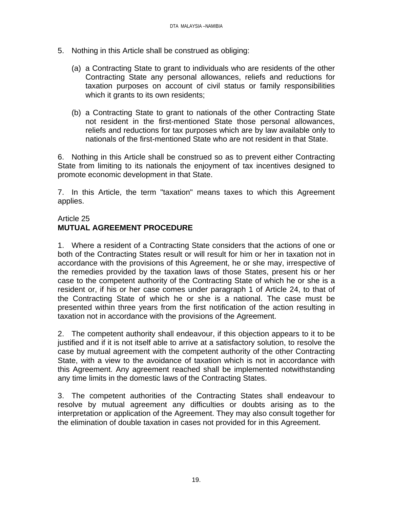- 5. Nothing in this Article shall be construed as obliging:
	- (a) a Contracting State to grant to individuals who are residents of the other Contracting State any personal allowances, reliefs and reductions for taxation purposes on account of civil status or family responsibilities which it grants to its own residents;
	- (b) a Contracting State to grant to nationals of the other Contracting State not resident in the first-mentioned State those personal allowances, reliefs and reductions for tax purposes which are by law available only to nationals of the first-mentioned State who are not resident in that State.

6. Nothing in this Article shall be construed so as to prevent either Contracting State from limiting to its nationals the enjoyment of tax incentives designed to promote economic development in that State.

7. In this Article, the term "taxation" means taxes to which this Agreement applies.

#### Article 25 **MUTUAL AGREEMENT PROCEDURE**

1. Where a resident of a Contracting State considers that the actions of one or both of the Contracting States result or will result for him or her in taxation not in accordance with the provisions of this Agreement, he or she may, irrespective of the remedies provided by the taxation laws of those States, present his or her case to the competent authority of the Contracting State of which he or she is a resident or, if his or her case comes under paragraph 1 of Article 24, to that of the Contracting State of which he or she is a national. The case must be presented within three years from the first notification of the action resulting in taxation not in accordance with the provisions of the Agreement.

2. The competent authority shall endeavour, if this objection appears to it to be justified and if it is not itself able to arrive at a satisfactory solution, to resolve the case by mutual agreement with the competent authority of the other Contracting State, with a view to the avoidance of taxation which is not in accordance with this Agreement. Any agreement reached shall be implemented notwithstanding any time limits in the domestic laws of the Contracting States.

3. The competent authorities of the Contracting States shall endeavour to resolve by mutual agreement any difficulties or doubts arising as to the interpretation or application of the Agreement. They may also consult together for the elimination of double taxation in cases not provided for in this Agreement.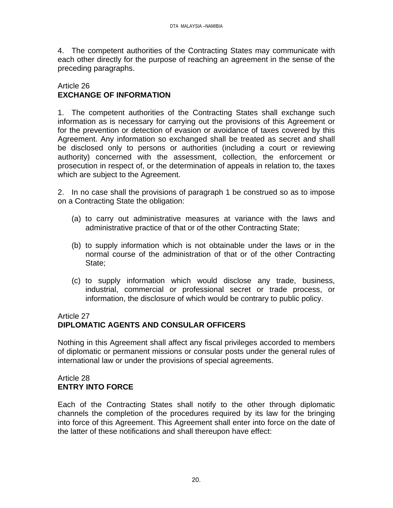4. The competent authorities of the Contracting States may communicate with each other directly for the purpose of reaching an agreement in the sense of the preceding paragraphs.

#### Article 26 **EXCHANGE OF INFORMATION**

1. The competent authorities of the Contracting States shall exchange such information as is necessary for carrying out the provisions of this Agreement or for the prevention or detection of evasion or avoidance of taxes covered by this Agreement. Any information so exchanged shall be treated as secret and shall be disclosed only to persons or authorities (including a court or reviewing authority) concerned with the assessment, collection, the enforcement or prosecution in respect of, or the determination of appeals in relation to, the taxes which are subject to the Agreement.

2. In no case shall the provisions of paragraph 1 be construed so as to impose on a Contracting State the obligation:

- (a) to carry out administrative measures at variance with the laws and administrative practice of that or of the other Contracting State;
- (b) to supply information which is not obtainable under the laws or in the normal course of the administration of that or of the other Contracting State;
- (c) to supply information which would disclose any trade, business, industrial, commercial or professional secret or trade process, or information, the disclosure of which would be contrary to public policy.

#### Article 27

# **DIPLOMATIC AGENTS AND CONSULAR OFFICERS**

Nothing in this Agreement shall affect any fiscal privileges accorded to members of diplomatic or permanent missions or consular posts under the general rules of international law or under the provisions of special agreements.

#### Article 28 **ENTRY INTO FORCE**

Each of the Contracting States shall notify to the other through diplomatic channels the completion of the procedures required by its law for the bringing into force of this Agreement. This Agreement shall enter into force on the date of the latter of these notifications and shall thereupon have effect: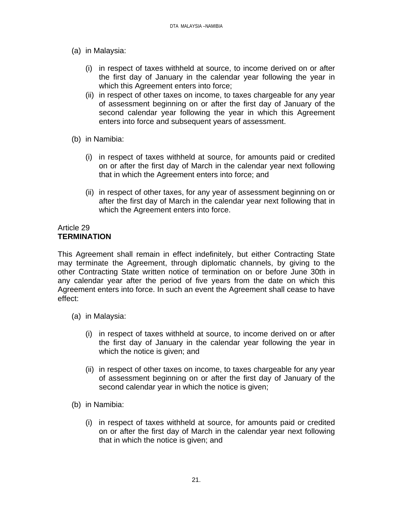- (a) in Malaysia:
	- (i) in respect of taxes withheld at source, to income derived on or after the first day of January in the calendar year following the year in which this Agreement enters into force;
	- (ii) in respect of other taxes on income, to taxes chargeable for any year of assessment beginning on or after the first day of January of the second calendar year following the year in which this Agreement enters into force and subsequent years of assessment.
- (b) in Namibia:
	- (i) in respect of taxes withheld at source, for amounts paid or credited on or after the first day of March in the calendar year next following that in which the Agreement enters into force; and
	- (ii) in respect of other taxes, for any year of assessment beginning on or after the first day of March in the calendar year next following that in which the Agreement enters into force.

#### Article 29 **TERMINATION**

This Agreement shall remain in effect indefinitely, but either Contracting State may terminate the Agreement, through diplomatic channels, by giving to the other Contracting State written notice of termination on or before June 30th in any calendar year after the period of five years from the date on which this Agreement enters into force. In such an event the Agreement shall cease to have effect:

- (a) in Malaysia:
	- (i) in respect of taxes withheld at source, to income derived on or after the first day of January in the calendar year following the year in which the notice is given; and
	- (ii) in respect of other taxes on income, to taxes chargeable for any year of assessment beginning on or after the first day of January of the second calendar year in which the notice is given;
- (b) in Namibia:
	- (i) in respect of taxes withheld at source, for amounts paid or credited on or after the first day of March in the calendar year next following that in which the notice is given; and